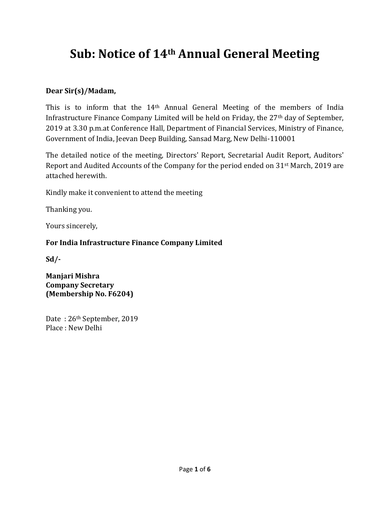# Sub: Notice of 14th Annual General Meeting

#### Dear Sir(s)/Madam,

This is to inform that the 14th Annual General Meeting of the members of India Infrastructure Finance Company Limited will be held on Friday, the 27<sup>th</sup> day of September, 2019 at 3.30 p.m.at Conference Hall, Department of Financial Services, Ministry of Finance, Government of India, Jeevan Deep Building, Sansad Marg, New Delhi-110001 **Dear Sir(s)/Madam,**<br>This is to inform that the 14<sup>th</sup> Annual General Meeting of th<br>Infrastructure Finance Company Limited will be held on Friday, the<br>2019 at 3.30 p.m.at Conference Hall, Department of Financial Servic<br>Gov

The detailed notice of the meeting, Directors' Report, Secretarial Audit Report, Auditors' Report and Audited Accounts of the Company for the period ended on 31st March, 2019 are attached herewith.

Kindly make it convenient to attend the meeting

Thanking you.

Yours sincerely,

 $Sd$  /-

Manjari Mishra Company Secretary (Membership No. F6204)

Date : 26th September, 2019 Place : New Delhi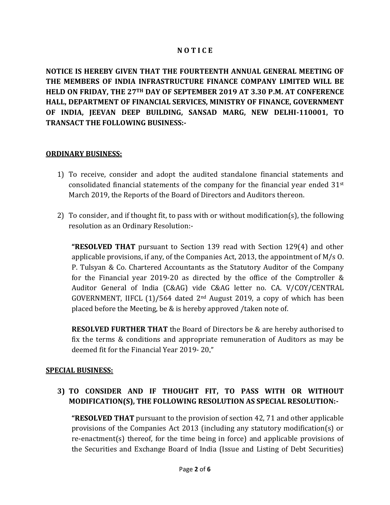#### **NOTICE**

NOTICE IS HEREBY GIVEN THAT THE FOURTEENTH ANNUAL GENERAL MEETING OF THE MEMBERS OF INDIA INFRASTRUCTURE FINANCE COMPANY LIMITED WILL BE HELD ON FRIDAY, THE 27TH DAY OF SEPTEMBER 2019 AT 3.30 P.M. AT CONFERENCE HALL, DEPARTMENT OF FINANCIAL SERVICES, MINISTRY OF FINANCE, GOVERNMENT OF INDIA, JEEVAN DEEP BUILDING, SANSAD MARG, NEW DELHI-110001, TO TRANSACT THE FOLLOWING BUSINESS:-

#### ORDINARY BUSINESS:

- 1) To receive, consider and adopt the audited standalone financial statements and consolidated financial statements of the company for the financial year ended  $31<sup>st</sup>$ March 2019, the Reports of the Board of Directors and Auditors thereon.
- 2) To consider, and if thought fit, to pass with or without modification(s), the following resolution as an Ordinary Resolution:-

**"RESOLVED THAT** pursuant to Section 139 read with Section 129(4) and other applicable provisions, if any, of the Companies Act, 2013, the appointment of M/s O. P. Tulsyan & Co. Chartered Accountants as the Statutory Auditor of the Company for the Financial year 2019-20 as directed by the office of the Comptroller & Auditor General of India (C&AG) vide C&AG letter no. CA. V/COY/CENTRAL GOVERNMENT, IIFCL  $(1)/564$  dated  $2<sup>nd</sup>$  August 2019, a copy of which has been placed before the Meeting, be & is hereby approved /taken note of.

RESOLVED FURTHER THAT the Board of Directors be & are hereby authorised to fix the terms & conditions and appropriate remuneration of Auditors as may be deemed fit for the Financial Year 2019- 20

#### SPECIAL BUSINESS:

#### 3) TO CONSIDER AND IF THOUGHT FIT, TO PASS WITH OR WITHOUT MODIFICATION(S), THE FOLLOWING RESOLUTION AS SPECIAL RESOLUTION:-

**"RESOLVED THAT** pursuant to the provision of section 42, 71 and other applicable provisions of the Companies Act 2013 (including any statutory modification(s) or re-enactment(s) thereof, for the time being in force) and applicable provisions of the Securities and Exchange Board of India (Issue and Listing of Debt Securities)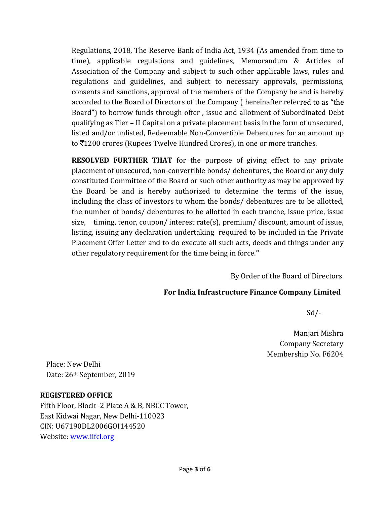Regulations, 2018, The Reserve Bank of India Act, 1934 (As amended from time to time), applicable regulations and guidelines, Memorandum & Articles of Association of the Company and subject to such other applicable laws, rules and regulations and guidelines, and subject to necessary approvals, permissions, consents and sanctions, approval of the members of the Company be and is hereby accorded to the Board of Directors of the Company ( hereinafter refer Board") to borrow funds through offer, issue and allotment of Subordinated Debt qualifying as Tier – II Capital on a private placement basis in the form of unsecured, listed and/or unlisted, Redeemable Non-Convertible Debentures for an amount up to ₹1200 crores (Rupees Twelve Hundred Crores), in one or more tranches.

RESOLVED FURTHER THAT for the purpose of giving effect to any private placement of unsecured, non-convertible bonds/ debentures, the Board or any duly constituted Committee of the Board or such other authority as may be approved by the Board be and is hereby authorized to determine the terms of the issue, including the class of investors to whom the bonds/ debentures are to be allotted, the number of bonds/ debentures to be allotted in each tranche, issue price, issue size, timing, tenor, coupon/interest rate(s), premium/ discount, amount of issue, listing, issuing any declaration undertaking required to be included in the Private Placement Offer Letter and to do execute all such acts, deeds and things under any other regulatory requirement for the time being in force.

By Order of the Board of Directors

#### For India Infrastructure Finance Company Limited

 $Sd$ 

 Manjari Mishra Company Secretary Membership No. F6204

Place: New Delhi Date: 26th September, 2019

#### REGISTERED OFFICE

Fifth Floor, Block -2 Plate A & B, NBCC Tower, East Kidwai Nagar, New Delhi-110023 CIN: U67190DL2006GOI144520 Website: www.iifcl.org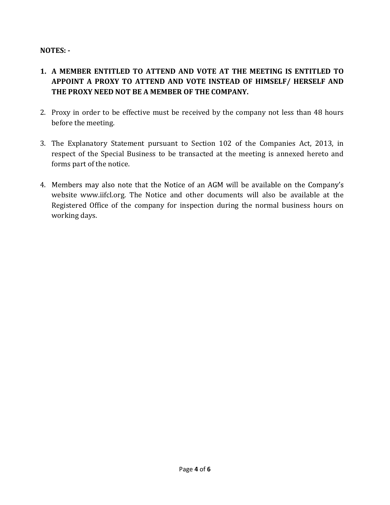#### NOTES: -

### 1. A MEMBER ENTITLED TO ATTEND AND VOTE AT THE MEETING IS ENTITLED TO APPOINT A PROXY TO ATTEND AND VOTE INSTEAD OF HIMSELF/ HERSELF AND THE PROXY NEED NOT BE A MEMBER OF THE COMPANY.

- 2. Proxy in order to be effective must be received by the company not less than 48 hours before the meeting.
- 3. The Explanatory Statement pursuant to Section 102 of the Companies Act, 2013, in respect of the Special Business to be transacted at the meeting is annexed hereto and forms part of the notice.
- 4. Members may also note that the Notice of an AGM will be available on the Company's website www.iifcl.org. The Notice and other documents will also be available at the Registered Office of the company for inspection during the normal business hours on working days.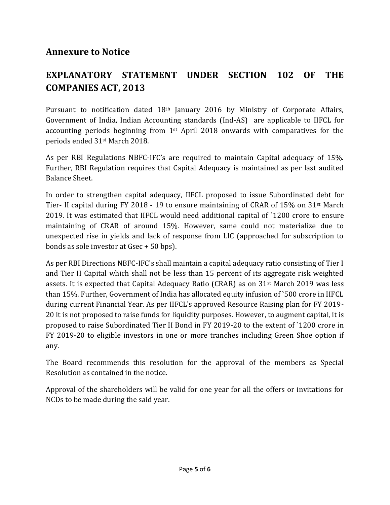## Annexure to Notice

# EXPLANATORY STATEMENT UNDER SECTION 102 OF THE COMPANIES ACT, 2013

Pursuant to notification dated 18<sup>th</sup> January 2016 by Ministry of Corporate Affairs, Government of India, Indian Accounting standards (Ind-AS) are applicable to IIFCL for accounting periods beginning from 1st April 2018 onwards with comparatives for the periods ended 31st March 2018.

As per RBI Regulations NBFC-IFC's are required to maintain Capital adequacy of 15%. Further, RBI Regulation requires that Capital Adequacy is maintained as per last audited Balance Sheet.

In order to strengthen capital adequacy, IIFCL proposed to issue Subordinated debt for Tier- II capital during FY 2018 - 19 to ensure maintaining of CRAR of 15% on 31st March 2019. It was estimated that IIFCL would need additional capital of `1200 crore to ensure maintaining of CRAR of around 15%. However, same could not materialize due to unexpected rise in yields and lack of response from LIC (approached for subscription to bonds as sole investor at Gsec + 50 bps).

As per RBI Directions NBFC-IFC's shall maintain a capital adequacy ratio consisting of Tier I and Tier II Capital which shall not be less than 15 percent of its aggregate risk weighted assets. It is expected that Capital Adequacy Ratio (CRAR) as on 31<sup>st</sup> March 2019 was less than 15%. Further, Government of India has allocated equity infusion of `500 crore in IIFCL during current Financial Year. As per IIFCL's approved Resource Raising plan for FY 2019- 20 it is not proposed to raise funds for liquidity purposes. However, to augment capital, it is proposed to raise Subordinated Tier II Bond in FY 2019-20 to the extent of `1200 crore in FY 2019-20 to eligible investors in one or more tranches including Green Shoe option if any.

The Board recommends this resolution for the approval of the members as Special Resolution as contained in the notice.

Approval of the shareholders will be valid for one year for all the offers or invitations for NCDs to be made during the said year.